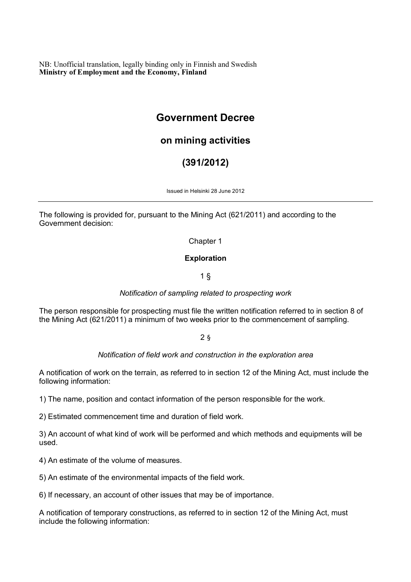NB: Unofficial translation, legally binding only in Finnish and Swedish **Ministry of Employment and the Economy, Finland**

# **Government Decree**

# **on mining activities**

# **(391/2012)**

Issued in Helsinki 28 June 2012

The following is provided for, pursuant to the Mining Act (621/2011) and according to the Government decision:

Chapter 1

# **Exploration**

1 §

*Notification of sampling related to prospecting work*

The person responsible for prospecting must file the written notification referred to in section 8 of the Mining Act (621/2011) a minimum of two weeks prior to the commencement of sampling.

2 §

# *Notification of field work and construction in the exploration area*

A notification of work on the terrain, as referred to in section 12 of the Mining Act, must include the following information:

1) The name, position and contact information of the person responsible for the work.

2) Estimated commencement time and duration of field work.

3) An account of what kind of work will be performed and which methods and equipments will be used.

4) An estimate of the volume of measures.

5) An estimate of the environmental impacts of the field work.

6) If necessary, an account of other issues that may be of importance.

A notification of temporary constructions, as referred to in section 12 of the Mining Act, must include the following information: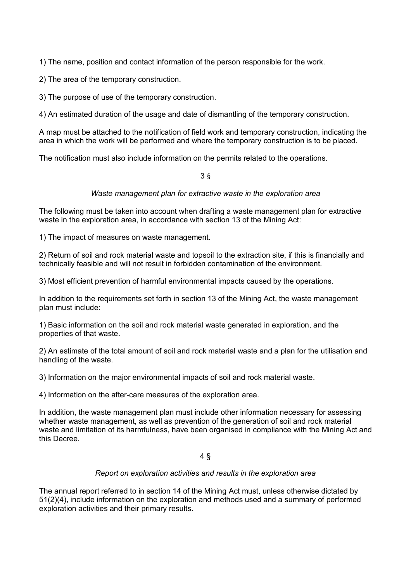1) The name, position and contact information of the person responsible for the work.

2) The area of the temporary construction.

3) The purpose of use of the temporary construction.

4) An estimated duration of the usage and date of dismantling of the temporary construction.

A map must be attached to the notification of field work and temporary construction, indicating the area in which the work will be performed and where the temporary construction is to be placed.

The notification must also include information on the permits related to the operations.

3 §

# *Waste management plan for extractive waste in the exploration area*

The following must be taken into account when drafting a waste management plan for extractive waste in the exploration area, in accordance with section 13 of the Mining Act:

1) The impact of measures on waste management.

2) Return of soil and rock material waste and topsoil to the extraction site, if this is financially and technically feasible and will not result in forbidden contamination of the environment.

3) Most efficient prevention of harmful environmental impacts caused by the operations.

In addition to the requirements set forth in section 13 of the Mining Act, the waste management plan must include:

1) Basic information on the soil and rock material waste generated in exploration, and the properties of that waste.

2) An estimate of the total amount of soil and rock material waste and a plan for the utilisation and handling of the waste.

3) Information on the major environmental impacts of soil and rock material waste.

4) Information on the after-care measures of the exploration area.

In addition, the waste management plan must include other information necessary for assessing whether waste management, as well as prevention of the generation of soil and rock material waste and limitation of its harmfulness, have been organised in compliance with the Mining Act and this Decree.

4 §

#### *Report on exploration activities and results in the exploration area*

The annual report referred to in section 14 of the Mining Act must, unless otherwise dictated by 51(2)(4), include information on the exploration and methods used and a summary of performed exploration activities and their primary results.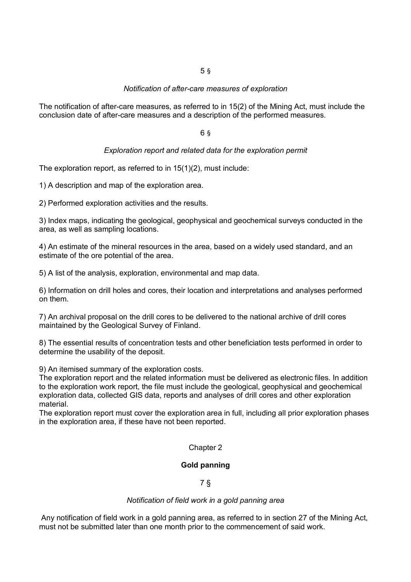#### *Notification of after-care measures of exploration*

The notification of after-care measures, as referred to in 15(2) of the Mining Act, must include the conclusion date of after-care measures and a description of the performed measures.

#### 6 §

#### *Exploration report and related data for the exploration permit*

The exploration report, as referred to in 15(1)(2), must include:

1) A description and map of the exploration area.

2) Performed exploration activities and the results.

3) Index maps, indicating the geological, geophysical and geochemical surveys conducted in the area, as well as sampling locations.

4) An estimate of the mineral resources in the area, based on a widely used standard, and an estimate of the ore potential of the area.

5) A list of the analysis, exploration, environmental and map data.

6) Information on drill holes and cores, their location and interpretations and analyses performed on them.

7) An archival proposal on the drill cores to be delivered to the national archive of drill cores maintained by the Geological Survey of Finland.

8) The essential results of concentration tests and other beneficiation tests performed in order to determine the usability of the deposit.

9) An itemised summary of the exploration costs.

The exploration report and the related information must be delivered as electronic files. In addition to the exploration work report, the file must include the geological, geophysical and geochemical exploration data, collected GIS data, reports and analyses of drill cores and other exploration material.

The exploration report must cover the exploration area in full, including all prior exploration phases in the exploration area, if these have not been reported.

#### Chapter 2

#### **Gold panning**

7 §

#### *Notification of field work in a gold panning area*

 Any notification of field work in a gold panning area, as referred to in section 27 of the Mining Act, must not be submitted later than one month prior to the commencement of said work.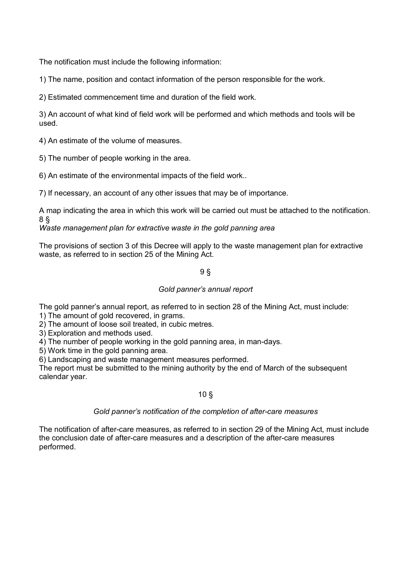The notification must include the following information:

1) The name, position and contact information of the person responsible for the work.

2) Estimated commencement time and duration of the field work.

3) An account of what kind of field work will be performed and which methods and tools will be used.

4) An estimate of the volume of measures.

5) The number of people working in the area.

6) An estimate of the environmental impacts of the field work..

7) If necessary, an account of any other issues that may be of importance.

A map indicating the area in which this work will be carried out must be attached to the notification. 8 §

*Waste management plan for extractive waste in the gold panning area*

The provisions of section 3 of this Decree will apply to the waste management plan for extractive waste, as referred to in section 25 of the Mining Act.

# 9 §

#### *Gold panner's annual report*

The gold panner's annual report, as referred to in section 28 of the Mining Act, must include:

1) The amount of gold recovered, in grams.

2) The amount of loose soil treated, in cubic metres.

3) Exploration and methods used.

4) The number of people working in the gold panning area, in man-days.

5) Work time in the gold panning area.

6) Landscaping and waste management measures performed.

The report must be submitted to the mining authority by the end of March of the subsequent calendar year.

#### 10 §

#### *Gold panner's notification of the completion of after-care measures*

The notification of after-care measures, as referred to in section 29 of the Mining Act, must include the conclusion date of after-care measures and a description of the after-care measures performed.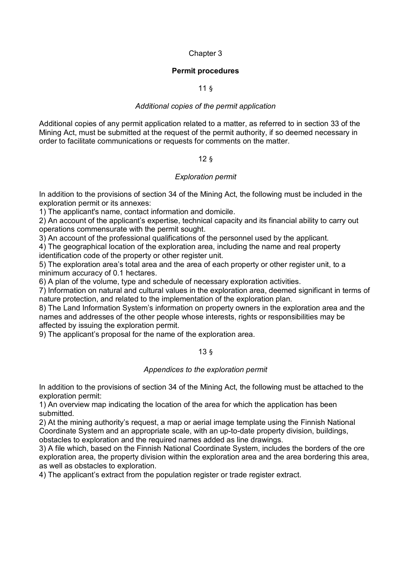# Chapter 3

# **Permit procedures**

# 11 §

# *Additional copies of the permit application*

Additional copies of any permit application related to a matter, as referred to in section 33 of the Mining Act, must be submitted at the request of the permit authority, if so deemed necessary in order to facilitate communications or requests for comments on the matter.

# 12 §

# *Exploration permit*

In addition to the provisions of section 34 of the Mining Act, the following must be included in the exploration permit or its annexes:

1) The applicant's name, contact information and domicile.

2) An account of the applicant's expertise, technical capacity and its financial ability to carry out operations commensurate with the permit sought.

3) An account of the professional qualifications of the personnel used by the applicant.

4) The geographical location of the exploration area, including the name and real property identification code of the property or other register unit.

5) The exploration area's total area and the area of each property or other register unit, to a minimum accuracy of 0.1 hectares.

6) A plan of the volume, type and schedule of necessary exploration activities.

7) Information on natural and cultural values in the exploration area, deemed significant in terms of nature protection, and related to the implementation of the exploration plan.

8) The Land Information System's information on property owners in the exploration area and the names and addresses of the other people whose interests, rights or responsibilities may be affected by issuing the exploration permit.

9) The applicant's proposal for the name of the exploration area.

13 §

#### *Appendices to the exploration permit*

In addition to the provisions of section 34 of the Mining Act, the following must be attached to the exploration permit:

1) An overview map indicating the location of the area for which the application has been submitted.

2) At the mining authority's request, a map or aerial image template using the Finnish National Coordinate System and an appropriate scale, with an up-to-date property division, buildings, obstacles to exploration and the required names added as line drawings.

3) A file which, based on the Finnish National Coordinate System, includes the borders of the ore exploration area, the property division within the exploration area and the area bordering this area, as well as obstacles to exploration.

4) The applicant's extract from the population register or trade register extract.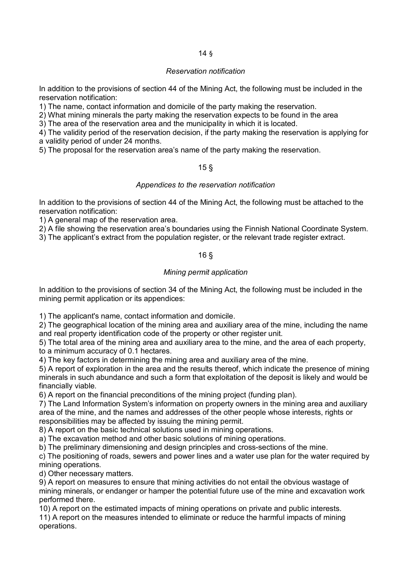# 14 §

# *Reservation notification*

In addition to the provisions of section 44 of the Mining Act, the following must be included in the reservation notification:

1) The name, contact information and domicile of the party making the reservation.

2) What mining minerals the party making the reservation expects to be found in the area

3) The area of the reservation area and the municipality in which it is located.

4) The validity period of the reservation decision, if the party making the reservation is applying for a validity period of under 24 months.

5) The proposal for the reservation area's name of the party making the reservation.

# 15 §

# *Appendices to the reservation notification*

In addition to the provisions of section 44 of the Mining Act, the following must be attached to the reservation notification:

1) A general map of the reservation area.

2) A file showing the reservation area's boundaries using the Finnish National Coordinate System.

3) The applicant's extract from the population register, or the relevant trade register extract.

# 16 §

# *Mining permit application*

In addition to the provisions of section 34 of the Mining Act, the following must be included in the mining permit application or its appendices:

1) The applicant's name, contact information and domicile.

2) The geographical location of the mining area and auxiliary area of the mine, including the name and real property identification code of the property or other register unit.

5) The total area of the mining area and auxiliary area to the mine, and the area of each property, to a minimum accuracy of 0.1 hectares.

4) The key factors in determining the mining area and auxiliary area of the mine.

5) A report of exploration in the area and the results thereof, which indicate the presence of mining minerals in such abundance and such a form that exploitation of the deposit is likely and would be financially viable.

6) A report on the financial preconditions of the mining project (funding plan).

7) The Land Information System's information on property owners in the mining area and auxiliary area of the mine, and the names and addresses of the other people whose interests, rights or responsibilities may be affected by issuing the mining permit.

8) A report on the basic technical solutions used in mining operations.

a) The excavation method and other basic solutions of mining operations.

b) The preliminary dimensioning and design principles and cross-sections of the mine.

c) The positioning of roads, sewers and power lines and a water use plan for the water required by mining operations.

d) Other necessary matters.

9) A report on measures to ensure that mining activities do not entail the obvious wastage of mining minerals, or endanger or hamper the potential future use of the mine and excavation work performed there.

10) A report on the estimated impacts of mining operations on private and public interests.

11) A report on the measures intended to eliminate or reduce the harmful impacts of mining operations.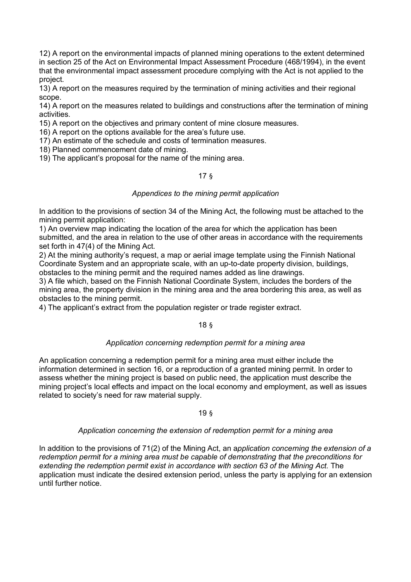12) A report on the environmental impacts of planned mining operations to the extent determined in section 25 of the Act on Environmental Impact Assessment Procedure (468/1994), in the event that the environmental impact assessment procedure complying with the Act is not applied to the project.

13) A report on the measures required by the termination of mining activities and their regional scope.

14) A report on the measures related to buildings and constructions after the termination of mining activities.

15) A report on the objectives and primary content of mine closure measures.

16) A report on the options available for the area's future use.

17) An estimate of the schedule and costs of termination measures.

18) Planned commencement date of mining.

19) The applicant's proposal for the name of the mining area.

# 17 §

#### *Appendices to the mining permit application*

In addition to the provisions of section 34 of the Mining Act, the following must be attached to the mining permit application:

1) An overview map indicating the location of the area for which the application has been submitted, and the area in relation to the use of other areas in accordance with the requirements set forth in 47(4) of the Mining Act.

2) At the mining authority's request, a map or aerial image template using the Finnish National Coordinate System and an appropriate scale, with an up-to-date property division, buildings, obstacles to the mining permit and the required names added as line drawings.

3) A file which, based on the Finnish National Coordinate System, includes the borders of the mining area, the property division in the mining area and the area bordering this area, as well as obstacles to the mining permit.

4) The applicant's extract from the population register or trade register extract.

#### 18 §

#### *Application concerning redemption permit for a mining area*

An application concerning a redemption permit for a mining area must either include the information determined in section 16, or a reproduction of a granted mining permit. In order to assess whether the mining project is based on public need, the application must describe the mining project's local effects and impact on the local economy and employment, as well as issues related to society's need for raw material supply.

#### 19 §

#### *Application concerning the extension of redemption permit for a mining area*

In addition to the provisions of 71(2) of the Mining Act, an a*pplication concerning the extension of a redemption permit for a mining area must be capable of demonstrating that the preconditions for extending the redemption permit exist in accordance with section 63 of the Mining Act.* The application must indicate the desired extension period, unless the party is applying for an extension until further notice.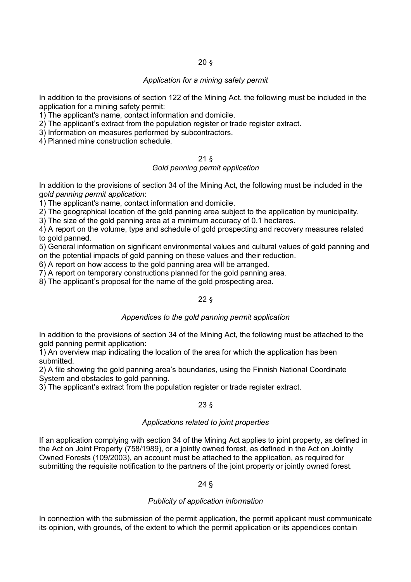# 20 §

# *Application for a mining safety permit*

In addition to the provisions of section 122 of the Mining Act, the following must be included in the application for a mining safety permit:

1) The applicant's name, contact information and domicile.

2) The applicant's extract from the population register or trade register extract.

3) Information on measures performed by subcontractors.

4) Planned mine construction schedule.

#### 21 § *Gold panning permit application*

In addition to the provisions of section 34 of the Mining Act, the following must be included in the g*old panning permit application*:

1) The applicant's name, contact information and domicile.

2) The geographical location of the gold panning area subject to the application by municipality.

3) The size of the gold panning area at a minimum accuracy of 0.1 hectares.

4) A report on the volume, type and schedule of gold prospecting and recovery measures related to gold panned.

5) General information on significant environmental values and cultural values of gold panning and on the potential impacts of gold panning on these values and their reduction.

6) A report on how access to the gold panning area will be arranged.

7) A report on temporary constructions planned for the gold panning area.

8) The applicant's proposal for the name of the gold prospecting area.

# 22 §

# *Appendices to the gold panning permit application*

In addition to the provisions of section 34 of the Mining Act, the following must be attached to the gold panning permit application:

1) An overview map indicating the location of the area for which the application has been submitted.

2) A file showing the gold panning area's boundaries, using the Finnish National Coordinate System and obstacles to gold panning.

3) The applicant's extract from the population register or trade register extract.

# 23 §

#### *Applications related to joint properties*

If an application complying with section 34 of the Mining Act applies to joint property, as defined in the Act on Joint Property (758/1989), or a jointly owned forest, as defined in the Act on Jointly Owned Forests (109/2003), an account must be attached to the application, as required for submitting the requisite notification to the partners of the joint property or jointly owned forest.

24 §

#### *Publicity of application information*

In connection with the submission of the permit application, the permit applicant must communicate its opinion, with grounds, of the extent to which the permit application or its appendices contain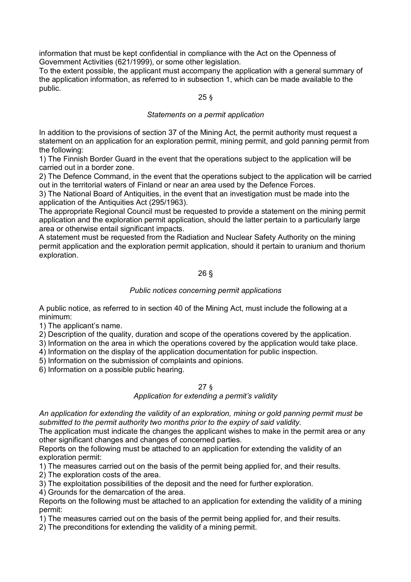information that must be kept confidential in compliance with the Act on the Openness of Government Activities (621/1999), or some other legislation.

To the extent possible, the applicant must accompany the application with a general summary of the application information, as referred to in subsection 1, which can be made available to the public.

# 25 §

#### *Statements on a permit application*

In addition to the provisions of section 37 of the Mining Act, the permit authority must request a statement on an application for an exploration permit, mining permit, and gold panning permit from the following:

1) The Finnish Border Guard in the event that the operations subject to the application will be carried out in a border zone.

2) The Defence Command, in the event that the operations subject to the application will be carried out in the territorial waters of Finland or near an area used by the Defence Forces.

3) The National Board of Antiquities, in the event that an investigation must be made into the application of the Antiquities Act (295/1963).

The appropriate Regional Council must be requested to provide a statement on the mining permit application and the exploration permit application, should the latter pertain to a particularly large area or otherwise entail significant impacts.

A statement must be requested from the Radiation and Nuclear Safety Authority on the mining permit application and the exploration permit application, should it pertain to uranium and thorium exploration.

# 26 §

# *Public notices concerning permit applications*

A public notice, as referred to in section 40 of the Mining Act, must include the following at a minimum:

1) The applicant's name.

2) Description of the quality, duration and scope of the operations covered by the application.

3) Information on the area in which the operations covered by the application would take place.

4) Information on the display of the application documentation for public inspection.

5) Information on the submission of complaints and opinions.

6) Information on a possible public hearing.

#### 27 §

#### *Application for extending a permit's validity*

*An application for extending the validity of an exploration, mining or gold panning permit must be submitted to the permit authority two months prior to the expiry of said validity.*

The application must indicate the changes the applicant wishes to make in the permit area or any other significant changes and changes of concerned parties.

Reports on the following must be attached to an application for extending the validity of an exploration permit:

1) The measures carried out on the basis of the permit being applied for, and their results.

2) The exploration costs of the area.

3) The exploitation possibilities of the deposit and the need for further exploration.

4) Grounds for the demarcation of the area.

Reports on the following must be attached to an application for extending the validity of a mining permit:

1) The measures carried out on the basis of the permit being applied for, and their results.

2) The preconditions for extending the validity of a mining permit.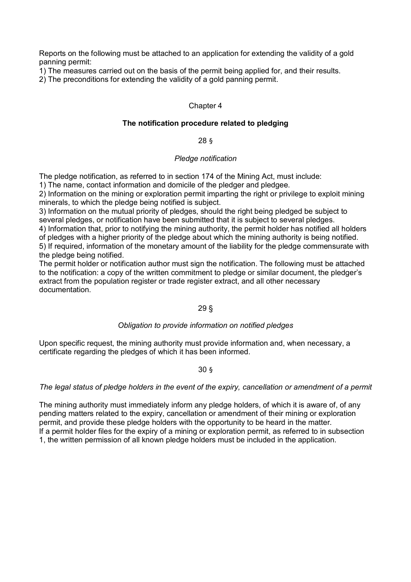Reports on the following must be attached to an application for extending the validity of a gold panning permit:

1) The measures carried out on the basis of the permit being applied for, and their results.

2) The preconditions for extending the validity of a gold panning permit.

# Chapter 4

# **The notification procedure related to pledging**

# 28 §

# *Pledge notification*

The pledge notification, as referred to in section 174 of the Mining Act, must include:

1) The name, contact information and domicile of the pledger and pledgee.

2) Information on the mining or exploration permit imparting the right or privilege to exploit mining minerals, to which the pledge being notified is subject.

3) Information on the mutual priority of pledges, should the right being pledged be subject to several pledges, or notification have been submitted that it is subject to several pledges.

4) Information that, prior to notifying the mining authority, the permit holder has notified all holders of pledges with a higher priority of the pledge about which the mining authority is being notified.

5) If required, information of the monetary amount of the liability for the pledge commensurate with the pledge being notified.

The permit holder or notification author must sign the notification. The following must be attached to the notification: a copy of the written commitment to pledge or similar document, the pledger's extract from the population register or trade register extract, and all other necessary documentation.

# 29 §

# *Obligation to provide information on notified pledges*

Upon specific request, the mining authority must provide information and, when necessary, a certificate regarding the pledges of which it has been informed.

30 §

# *The legal status of pledge holders in the event of the expiry, cancellation or amendment of a permit*

The mining authority must immediately inform any pledge holders, of which it is aware of, of any pending matters related to the expiry, cancellation or amendment of their mining or exploration permit, and provide these pledge holders with the opportunity to be heard in the matter. If a permit holder files for the expiry of a mining or exploration permit, as referred to in subsection 1, the written permission of all known pledge holders must be included in the application.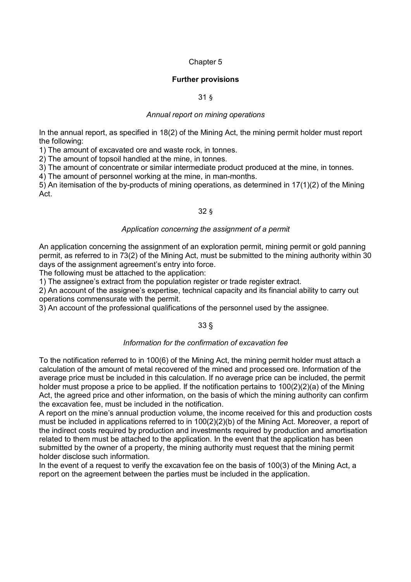# Chapter 5

# **Further provisions**

# 31 §

#### *Annual report on mining operations*

In the annual report, as specified in 18(2) of the Mining Act, the mining permit holder must report the following:

1) The amount of excavated ore and waste rock, in tonnes.

2) The amount of topsoil handled at the mine, in tonnes.

3) The amount of concentrate or similar intermediate product produced at the mine, in tonnes.

4) The amount of personnel working at the mine, in man-months.

5) An itemisation of the by-products of mining operations, as determined in 17(1)(2) of the Mining Act.

# 32 §

# *Application concerning the assignment of a permit*

An application concerning the assignment of an exploration permit, mining permit or gold panning permit, as referred to in 73(2) of the Mining Act, must be submitted to the mining authority within 30 days of the assignment agreement's entry into force.

The following must be attached to the application:

1) The assignee's extract from the population register or trade register extract.

2) An account of the assignee's expertise, technical capacity and its financial ability to carry out operations commensurate with the permit.

3) An account of the professional qualifications of the personnel used by the assignee.

# 33 §

#### *Information for the confirmation of excavation fee*

To the notification referred to in 100(6) of the Mining Act, the mining permit holder must attach a calculation of the amount of metal recovered of the mined and processed ore. Information of the average price must be included in this calculation. If no average price can be included, the permit holder must propose a price to be applied. If the notification pertains to 100(2)(2)(a) of the Mining Act, the agreed price and other information, on the basis of which the mining authority can confirm the excavation fee, must be included in the notification.

A report on the mine's annual production volume, the income received for this and production costs must be included in applications referred to in 100(2)(2)(b) of the Mining Act. Moreover, a report of the indirect costs required by production and investments required by production and amortisation related to them must be attached to the application. In the event that the application has been submitted by the owner of a property, the mining authority must request that the mining permit holder disclose such information.

In the event of a request to verify the excavation fee on the basis of 100(3) of the Mining Act, a report on the agreement between the parties must be included in the application.